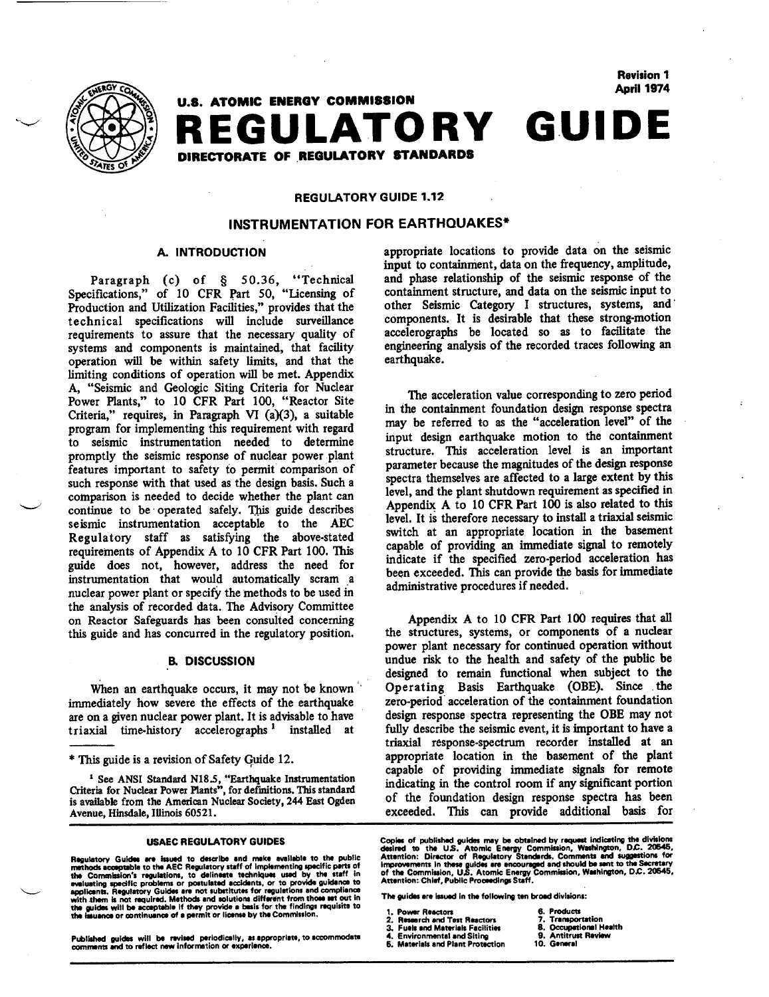

**April** 1974 **GUIDE U.S. ATOMIC** ENERGY **COMMISSION**  REGULATORY DIRECTORATE OF REGULATORY STANDARDS

# REGULATORY **GUIDE** 1.12

# **INSTRUMENTATION** FOR **EARTHQUAKES\***

# **A.** INTRODUCTION

Paragraph (c) of § 50.36, "Technical Specifications," of **10** CFR Part 50, "licensing of Production and Utilization Facilities," provides that the technical specifications will include surveillance requirements to assure that the necessary quality of systems and components is maintained, that facility operation will be within safety limits, and that the limiting conditions of operation will be met. Appendix A, "Seismic and Geologic Siting Criteria for Nuclear Power Plants," to 10 CFR Part 100, "Reactor Site Criteria," requires, in Paragraph VI  $(a)(3)$ , a suitable program for implementing this requirement with regard to seismic instrumentation needed to determine promptly the seismic response of nuclear power plant features important to safety to permit comparison of such response with that used as the design basis. Such a comparison is needed to decide whether the plant can continue to be operated safely. This guide describes seismic instrumentation acceptable to the AEC Regulatory staff as satisfying the above-stated requirements of Appendix A to 10 CFR Part 100. This guide does not, however, address the need for instrumentation that would automatically scram a nuclear power plant or specify the methods to be used in the analysis of recorded data. The Advisory Committee on Reactor Safeguards has been consulted concerning this guide and has concurred in the regulatory position.

### **EL DISCUSSION**

When an earthquake occurs, it may not be known immediately how severe the effects of the earthquake are on a given nuclear power plant. It is advisable to have triaxial time-history accelerographs **1** installed at

**'** See ANSI Standard N18.5, "Earthquake Instrumentation Criteria for Nuclear Power Plants", for definitions. This standard is available from the American Nuclear Society, 244 East Ogden Avenue, Hinsdale, Illinois 60521.

evaluating specific problems or posttuisted accidents, or to provide guidance to<br>applicants. Regulatory Guides are not substitutes for regulations and compliance<br>with them is not required. Methods and solutions different f

Published guides will be revised periodically, as appropriate, to accommodate 4. Environmental and Siting 9. Antitrust Review<br>comments and to reflect new information or experience. 5. Materials and Pla

appropriate locations to provide data on the seismic input to containment, data on the frequency, amplitude, and phase relationship of the seismic response of the containment structure, and data on the seismic input to other Seismic Category I structures, systems, and components. It is desirable that these strong-motion accelerographs be located so as to facilitate the engineering analysis of the recorded traces following an earthquake.

Revision **1** 

The acceleration value corresponding to zero period in the containment foundation design response spectra may be referred to as the "acceleration level" of the input design earthquake motion to the containment structure. This acceleration level is an important parameter because the magnitudes of the design response spectra themselves are affected to a large extent by this level, and the plant shutdown requirement as specified in Appendix A to **10** CFR Part 100 is also related to this level. It is therefore necessary to install a triaxial seismic switch at an appropriate location in the basement capable of providing an immediate signal to remotely indicate if the specified zero-period acceleration has been exceeded. This can provide the basis for immediate administrative procedures if needed.

Appendix A to **10** CFR Part 100 requires that all the structures, systems, or components of a nuclear power plant necessary for continued operation without undue risk to the health and safety of the public be designed to remain functional when subject to the Operating Basis Earthquake (OBE). Since the zero-period acceleration of the containment foundation design response spectra representing the OBE may not fully describe the seismic event, it is important to have a triaxial response-spectrum recorder installed at an appropriate location in the basement of the plant capable of providing immediate signals for remote indicating in the control room if any significant portion of the foundation design response spectra has been exceeded. This can provide additional basis for

- 
- 
- **2. Research and Test Reactors 7. Transportation <br>
<b>2. Presearch and Test Reactivies 8. Occupational Health Environmental and Siting 9. Antitrust Review** 
	-
	-
- 
- 

<sup>\*</sup> This guide is a revision of Safety Guide 12.

USAEC REGULATORY GUIDES Copies of published guides may be obtained by request indicating the divisions<br>Regulatory Guides are issued to describe and make available to the public Attention: Director of Regulatory Standards,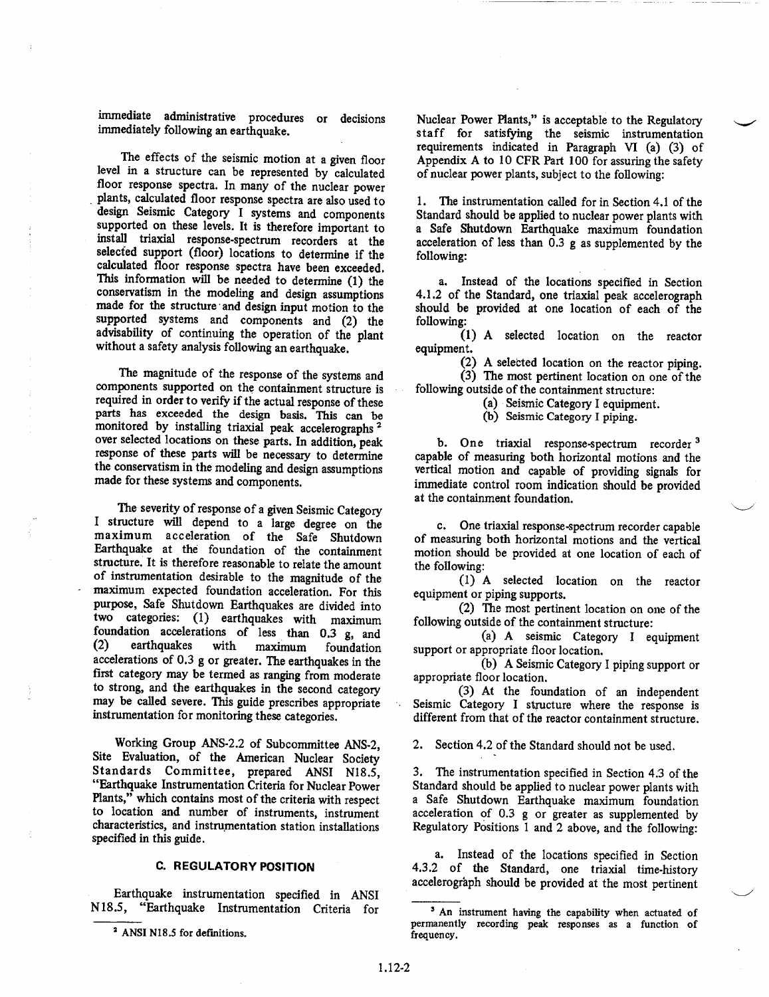immediate administrative procedures or decisions immediately following an earthquake.

The effects of the seismic motion at a given floor level in a structure can be represented by calculated floor response spectra. In many of the nuclear power plants, calculated floor response spectra are also used to supported on these levels. It is therefore important to install triaxial response-spectrum recorders at the selected support (floor) locations to determine if the calculated floor response spectra have been exceeded. This information will be needed to determine (1) the conservatism in the modeling and design assumptions made for the structure and design input motion to the supported systems and components and (2) the advisability of continuing the operation of the plant without a safety analysis following an earthquake.

The magnitude of the response of the systems and components supported on the containment structure is required in order to verify if the actual response of these parts has exceeded the design basis. This can be monitored by installing triaxial peak accelerographs 2 over selected locations on these parts. In addition, peak response of these parts will be necessary to determine the conservatism in the modeling and design assumptions made for these systems and components.

The severity of response of a given Seismic Category I structure will depend to a large degree on the maximum acceleration of the Safe Shutdown Earthquake at the foundation of the containment structure. It is therefore reasonable to relate the amount of instrumentation desirable to the magnitude of the maximum expected foundation acceleration. For this purpose, Safe Shutdown Earthquakes are divided into two categories: **(1)** earthquakes with maximum foundation accelerations of less than 0.3 g, and (2) earthquakes with maximum foundation accelerations of 0.3 g or greater. The earthquakes in the first category may be termed as ranging from moderate to strong, and the earthquakes in the second category may be called severe. This guide prescribes appropriate instrumentation for monitoring these categories.

Working Group ANS-2.2 of Subcommittee ANS-2, Site Evaluation, of the American Nuclear Society Standards Committee, prepared ANSI N18.5, "Earthquake Instrumentation Criteria for Nuclear Power Plants," which contains most of the criteria with respect to location and number of instruments, instrument characteristics, and instrumentation station installations specified in this guide.

## **C.** REGULATORY **POSITION**

Earthquake instrumentation specified in ANSI N 18.5, "Earthquake Instrumentation Criteria for

<sup>2</sup> ANSI N18.5 for definitions.

Nuclear Power Plants," is acceptable to the Regulatory staff for satisfying the seismic instrumentation requirements indicated in Paragraph VI (a) (3) of Appendix A to 10 CFR Part 100 for assuring the safety of nuclear power plants, subject to the following:

1. The instrumentation called for in Section 4.1 of the Standard should be applied to nuclear power plants with a Safe Shutdown Earthquake maximum foundation acceleration of less than 0.3 **g** as supplemented by the following:

a. Instead of the locations specified in Section 4.1.2 of the Standard, one triaxial peak accelerograph should be provided at one location of each of the following:

(1) A selected location on the reactor equipment.

(2) A selected location on the reactor piping. (3) The most pertinent location on one of the following outside of the containment structure:

(a) Seismic Category I equipment.

(b) Seismic Category I piping.

b. One triaxial response-spectrum recorder **<sup>3</sup>** capable of measuring both horizontal motions and the vertical motion and capable of providing signals for immediate control room indication should be provided at the containment foundation.

c. One triaxial response-spectrum recorder capable of measuring both horizontal motions and the vertical motion should be provided at one location of each of the following:

(1) A selected location on the reactor equipment or piping supports.

(2) The most pertinent location on one of the following outside of the containment structure:

(a) A seismic Category I equipment support or appropriate floor location.

(b) A Seismic Category I piping support or appropriate floor location.

(3) At the foundation of an independent Seismic Category I structure where the response is different from that of the reactor containment structure.

2. Section 4.2 of the Standard should not be used.

3. The instrumentation specified in Section 4.3 of the Standard should be applied to nuclear power plants with a Safe Shutdown Earthquake maximum foundation acceleration of 0.3 g or greater as supplemented by Regulatory Positions 1 and 2 above, and the following:

a. Instead of the locations specified in Section 4.3.2 of the Standard, one triaxial time-history accelerograph should be provided at the most pertinent

**<sup>3</sup>**An instrument having the capability when actuated of permanently recording peak responses as a function of frequency.